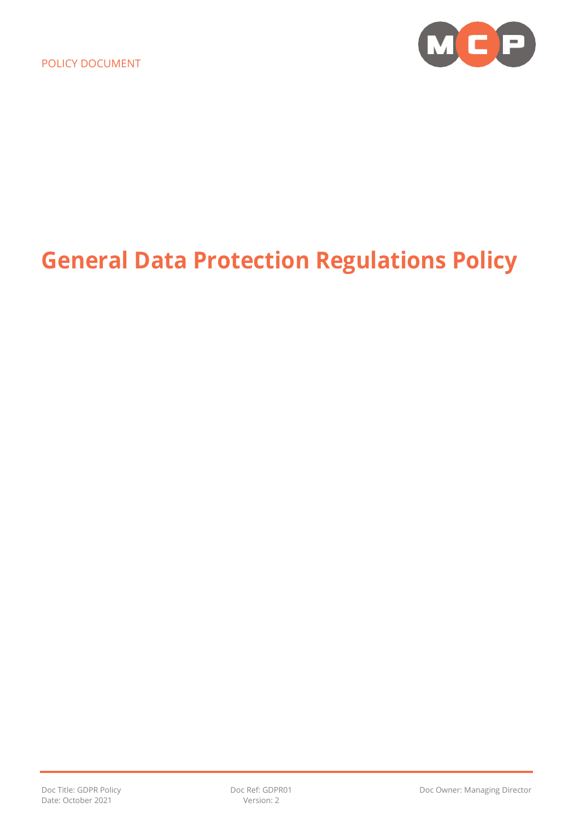

# **General Data Protection Regulations Policy**

Date: October 2021 Version: 2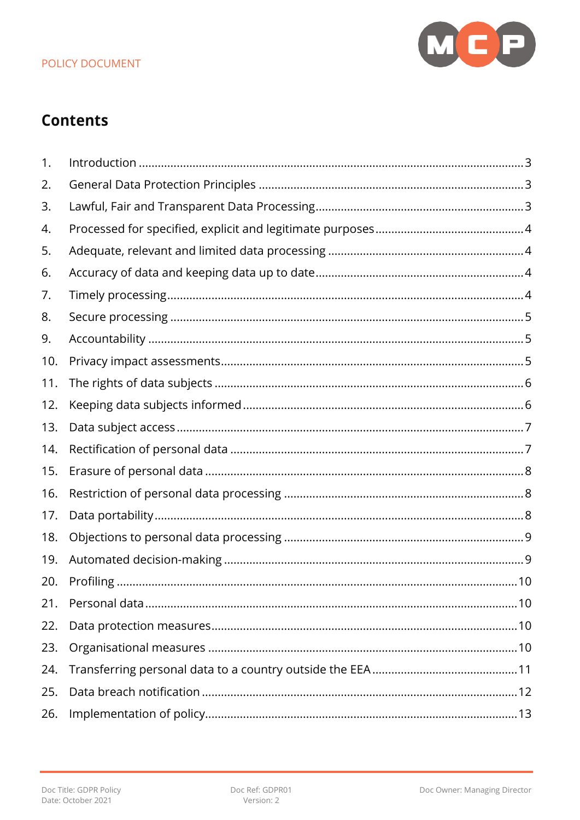

## **Contents**

| 1.  |  |
|-----|--|
| 2.  |  |
| 3.  |  |
| 4.  |  |
| 5.  |  |
| 6.  |  |
| 7.  |  |
| 8.  |  |
| 9.  |  |
| 10. |  |
| 11. |  |
| 12. |  |
| 13. |  |
| 14. |  |
| 15. |  |
| 16. |  |
| 17. |  |
| 18. |  |
| 19. |  |
| 20. |  |
| 21. |  |
| 22. |  |
| 23. |  |
| 24. |  |
| 25. |  |
| 26. |  |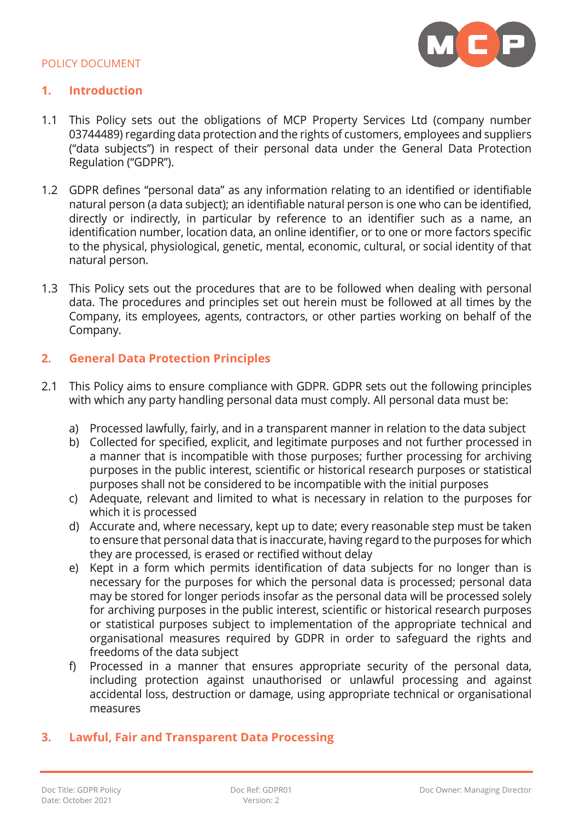

#### <span id="page-2-0"></span>**1. Introduction**

- 1.1 This Policy sets out the obligations of MCP Property Services Ltd (company number 03744489) regarding data protection and the rights of customers, employees and suppliers ("data subjects") in respect of their personal data under the General Data Protection Regulation ("GDPR").
- 1.2 GDPR defines "personal data" as any information relating to an identified or identifiable natural person (a data subject); an identifiable natural person is one who can be identified, directly or indirectly, in particular by reference to an identifier such as a name, an identification number, location data, an online identifier, or to one or more factors specific to the physical, physiological, genetic, mental, economic, cultural, or social identity of that natural person.
- 1.3 This Policy sets out the procedures that are to be followed when dealing with personal data. The procedures and principles set out herein must be followed at all times by the Company, its employees, agents, contractors, or other parties working on behalf of the Company.

## <span id="page-2-1"></span>**2. General Data Protection Principles**

- 2.1 This Policy aims to ensure compliance with GDPR. GDPR sets out the following principles with which any party handling personal data must comply. All personal data must be:
	- a) Processed lawfully, fairly, and in a transparent manner in relation to the data subject
	- b) Collected for specified, explicit, and legitimate purposes and not further processed in a manner that is incompatible with those purposes; further processing for archiving purposes in the public interest, scientific or historical research purposes or statistical purposes shall not be considered to be incompatible with the initial purposes
	- c) Adequate, relevant and limited to what is necessary in relation to the purposes for which it is processed
	- d) Accurate and, where necessary, kept up to date; every reasonable step must be taken to ensure that personal data that is inaccurate, having regard to the purposes for which they are processed, is erased or rectified without delay
	- e) Kept in a form which permits identification of data subjects for no longer than is necessary for the purposes for which the personal data is processed; personal data may be stored for longer periods insofar as the personal data will be processed solely for archiving purposes in the public interest, scientific or historical research purposes or statistical purposes subject to implementation of the appropriate technical and organisational measures required by GDPR in order to safeguard the rights and freedoms of the data subject
	- f) Processed in a manner that ensures appropriate security of the personal data, including protection against unauthorised or unlawful processing and against accidental loss, destruction or damage, using appropriate technical or organisational measures

## <span id="page-2-2"></span>**3. Lawful, Fair and Transparent Data Processing**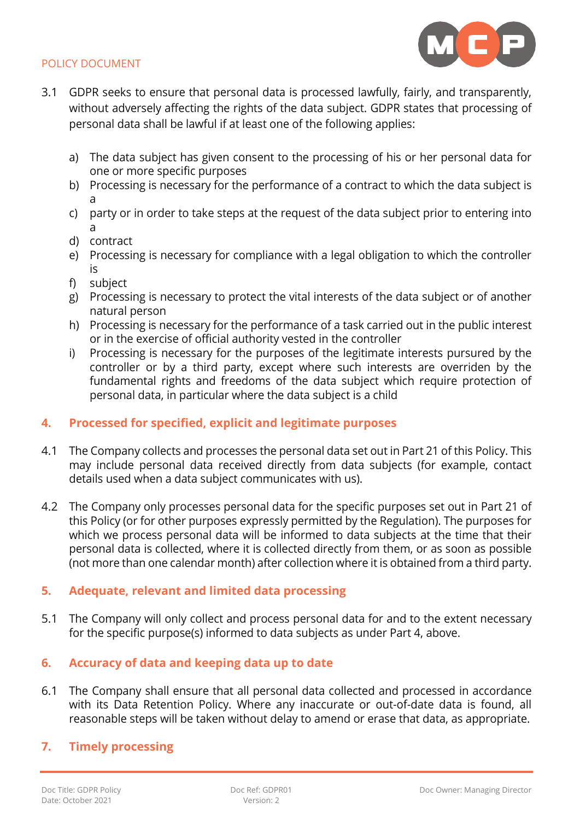

- 3.1 GDPR seeks to ensure that personal data is processed lawfully, fairly, and transparently, without adversely affecting the rights of the data subject. GDPR states that processing of personal data shall be lawful if at least one of the following applies:
	- a) The data subject has given consent to the processing of his or her personal data for one or more specific purposes
	- b) Processing is necessary for the performance of a contract to which the data subject is a
	- c) party or in order to take steps at the request of the data subject prior to entering into a
	- d) contract
	- e) Processing is necessary for compliance with a legal obligation to which the controller is
	- f) subject
	- g) Processing is necessary to protect the vital interests of the data subject or of another natural person
	- h) Processing is necessary for the performance of a task carried out in the public interest or in the exercise of official authority vested in the controller
	- i) Processing is necessary for the purposes of the legitimate interests pursured by the controller or by a third party, except where such interests are overriden by the fundamental rights and freedoms of the data subject which require protection of personal data, in particular where the data subject is a child

## <span id="page-3-0"></span>**4. Processed for specified, explicit and legitimate purposes**

- 4.1 The Company collects and processes the personal data set out in Part 21 of this Policy. This may include personal data received directly from data subjects (for example, contact details used when a data subject communicates with us).
- 4.2 The Company only processes personal data for the specific purposes set out in Part 21 of this Policy (or for other purposes expressly permitted by the Regulation). The purposes for which we process personal data will be informed to data subjects at the time that their personal data is collected, where it is collected directly from them, or as soon as possible (not more than one calendar month) after collection where it is obtained from a third party.

## <span id="page-3-1"></span>**5. Adequate, relevant and limited data processing**

5.1 The Company will only collect and process personal data for and to the extent necessary for the specific purpose(s) informed to data subjects as under Part 4, above.

## <span id="page-3-2"></span>**6. Accuracy of data and keeping data up to date**

- 6.1 The Company shall ensure that all personal data collected and processed in accordance with its Data Retention Policy. Where any inaccurate or out-of-date data is found, all reasonable steps will be taken without delay to amend or erase that data, as appropriate.
- <span id="page-3-3"></span>**7. Timely processing**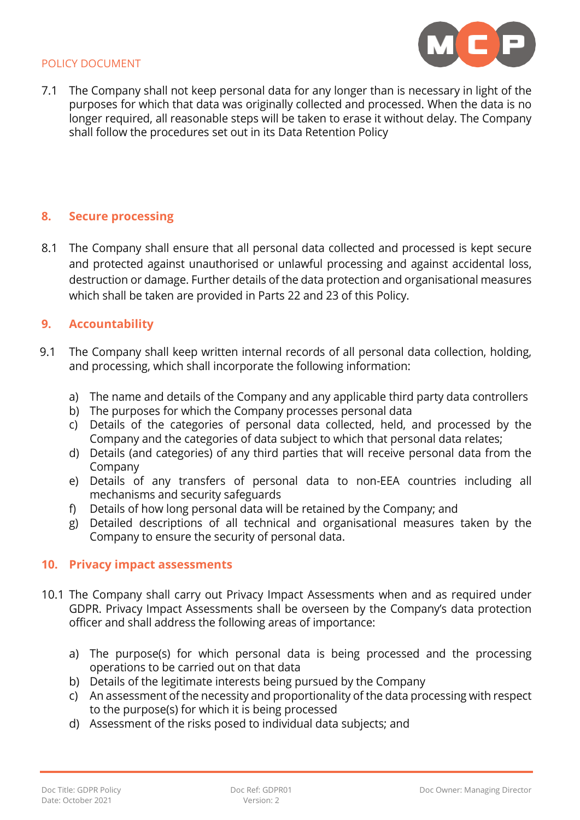

7.1 The Company shall not keep personal data for any longer than is necessary in light of the purposes for which that data was originally collected and processed. When the data is no longer required, all reasonable steps will be taken to erase it without delay. The Company shall follow the procedures set out in its Data Retention Policy

## <span id="page-4-0"></span>**8. Secure processing**

8.1 The Company shall ensure that all personal data collected and processed is kept secure and protected against unauthorised or unlawful processing and against accidental loss, destruction or damage. Further details of the data protection and organisational measures which shall be taken are provided in Parts 22 and 23 of this Policy.

### <span id="page-4-1"></span>**9. Accountability**

- 9.1 The Company shall keep written internal records of all personal data collection, holding, and processing, which shall incorporate the following information:
	- a) The name and details of the Company and any applicable third party data controllers
	- b) The purposes for which the Company processes personal data
	- c) Details of the categories of personal data collected, held, and processed by the Company and the categories of data subject to which that personal data relates;
	- d) Details (and categories) of any third parties that will receive personal data from the Company
	- e) Details of any transfers of personal data to non-EEA countries including all mechanisms and security safeguards
	- f) Details of how long personal data will be retained by the Company; and
	- g) Detailed descriptions of all technical and organisational measures taken by the Company to ensure the security of personal data.

#### <span id="page-4-2"></span>**10. Privacy impact assessments**

- 10.1 The Company shall carry out Privacy Impact Assessments when and as required under GDPR. Privacy Impact Assessments shall be overseen by the Company's data protection officer and shall address the following areas of importance:
	- a) The purpose(s) for which personal data is being processed and the processing operations to be carried out on that data
	- b) Details of the legitimate interests being pursued by the Company
	- c) An assessment of the necessity and proportionality of the data processing with respect to the purpose(s) for which it is being processed
	- d) Assessment of the risks posed to individual data subjects; and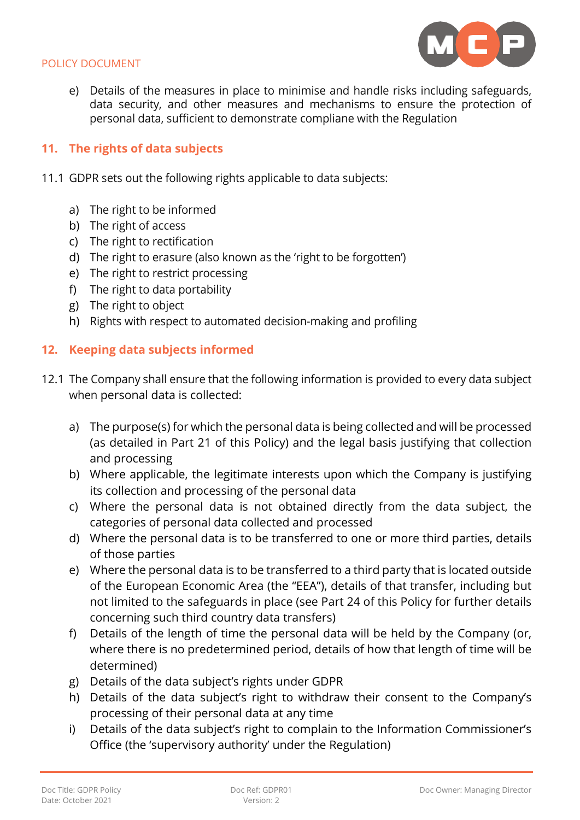

e) Details of the measures in place to minimise and handle risks including safeguards, data security, and other measures and mechanisms to ensure the protection of personal data, sufficient to demonstrate compliane with the Regulation

## <span id="page-5-0"></span>**11. The rights of data subjects**

- 11.1 GDPR sets out the following rights applicable to data subjects:
	- a) The right to be informed
	- b) The right of access
	- c) The right to rectification
	- d) The right to erasure (also known as the 'right to be forgotten')
	- e) The right to restrict processing
	- f) The right to data portability
	- g) The right to object
	- h) Rights with respect to automated decision-making and profiling

## <span id="page-5-1"></span>**12. Keeping data subjects informed**

- 12.1 The Company shall ensure that the following information is provided to every data subject when personal data is collected:
	- a) The purpose(s) for which the personal data is being collected and will be processed (as detailed in Part 21 of this Policy) and the legal basis justifying that collection and processing
	- b) Where applicable, the legitimate interests upon which the Company is justifying its collection and processing of the personal data
	- c) Where the personal data is not obtained directly from the data subject, the categories of personal data collected and processed
	- d) Where the personal data is to be transferred to one or more third parties, details of those parties
	- e) Where the personal data is to be transferred to a third party that is located outside of the European Economic Area (the "EEA"), details of that transfer, including but not limited to the safeguards in place (see Part 24 of this Policy for further details concerning such third country data transfers)
	- f) Details of the length of time the personal data will be held by the Company (or, where there is no predetermined period, details of how that length of time will be determined)
	- g) Details of the data subject's rights under GDPR
	- h) Details of the data subject's right to withdraw their consent to the Company's processing of their personal data at any time
	- i) Details of the data subject's right to complain to the Information Commissioner's Office (the 'supervisory authority' under the Regulation)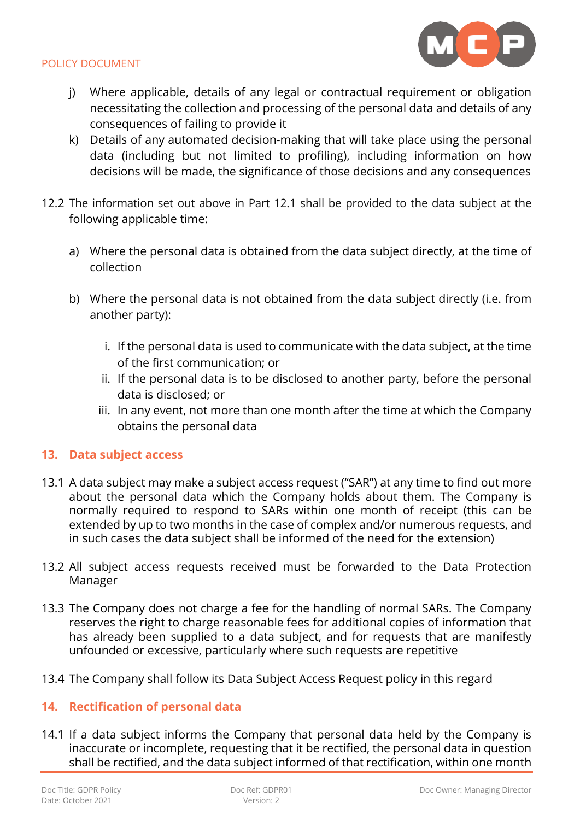

- j) Where applicable, details of any legal or contractual requirement or obligation necessitating the collection and processing of the personal data and details of any consequences of failing to provide it
- k) Details of any automated decision-making that will take place using the personal data (including but not limited to profiling), including information on how decisions will be made, the significance of those decisions and any consequences
- 12.2 The information set out above in Part 12.1 shall be provided to the data subject at the following applicable time:
	- a) Where the personal data is obtained from the data subject directly, at the time of collection
	- b) Where the personal data is not obtained from the data subject directly (i.e. from another party):
		- i. If the personal data is used to communicate with the data subject, at the time of the first communication; or
		- ii. If the personal data is to be disclosed to another party, before the personal data is disclosed; or
		- iii. In any event, not more than one month after the time at which the Company obtains the personal data

## <span id="page-6-0"></span>**13. Data subject access**

- 13.1 A data subject may make a subject access request ("SAR") at any time to find out more about the personal data which the Company holds about them. The Company is normally required to respond to SARs within one month of receipt (this can be extended by up to two months in the case of complex and/or numerous requests, and in such cases the data subject shall be informed of the need for the extension)
- 13.2 All subject access requests received must be forwarded to the Data Protection Manager
- 13.3 The Company does not charge a fee for the handling of normal SARs. The Company reserves the right to charge reasonable fees for additional copies of information that has already been supplied to a data subject, and for requests that are manifestly unfounded or excessive, particularly where such requests are repetitive
- 13.4 The Company shall follow its Data Subject Access Request policy in this regard

## <span id="page-6-1"></span>**14. Rectification of personal data**

14.1 If a data subject informs the Company that personal data held by the Company is inaccurate or incomplete, requesting that it be rectified, the personal data in question shall be rectified, and the data subject informed of that rectification, within one month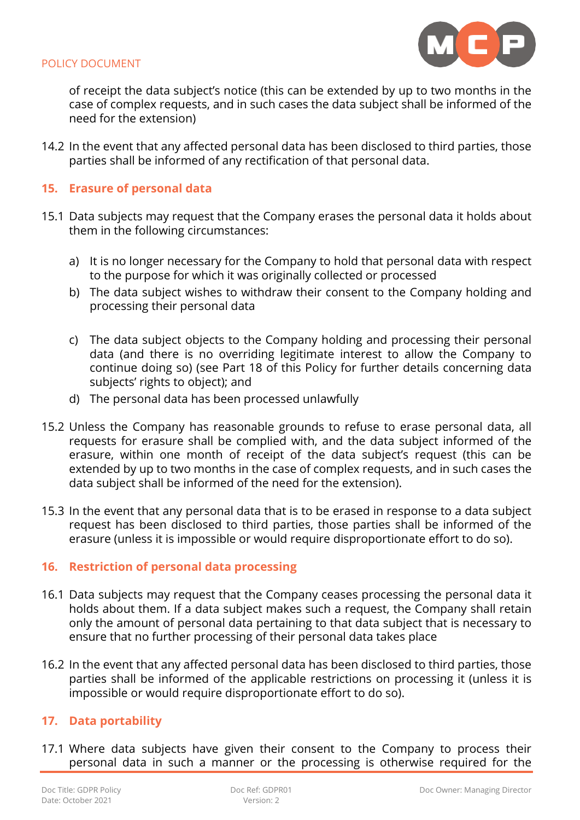

of receipt the data subject's notice (this can be extended by up to two months in the case of complex requests, and in such cases the data subject shall be informed of the need for the extension)

14.2 In the event that any affected personal data has been disclosed to third parties, those parties shall be informed of any rectification of that personal data.

## <span id="page-7-0"></span>**15. Erasure of personal data**

- 15.1 Data subjects may request that the Company erases the personal data it holds about them in the following circumstances:
	- a) It is no longer necessary for the Company to hold that personal data with respect to the purpose for which it was originally collected or processed
	- b) The data subject wishes to withdraw their consent to the Company holding and processing their personal data
	- c) The data subject objects to the Company holding and processing their personal data (and there is no overriding legitimate interest to allow the Company to continue doing so) (see Part 18 of this Policy for further details concerning data subjects' rights to object); and
	- d) The personal data has been processed unlawfully
- 15.2 Unless the Company has reasonable grounds to refuse to erase personal data, all requests for erasure shall be complied with, and the data subject informed of the erasure, within one month of receipt of the data subject's request (this can be extended by up to two months in the case of complex requests, and in such cases the data subject shall be informed of the need for the extension).
- 15.3 In the event that any personal data that is to be erased in response to a data subject request has been disclosed to third parties, those parties shall be informed of the erasure (unless it is impossible or would require disproportionate effort to do so).

## <span id="page-7-1"></span>**16. Restriction of personal data processing**

- 16.1 Data subjects may request that the Company ceases processing the personal data it holds about them. If a data subject makes such a request, the Company shall retain only the amount of personal data pertaining to that data subject that is necessary to ensure that no further processing of their personal data takes place
- 16.2 In the event that any affected personal data has been disclosed to third parties, those parties shall be informed of the applicable restrictions on processing it (unless it is impossible or would require disproportionate effort to do so).

## <span id="page-7-2"></span>**17. Data portability**

17.1 Where data subjects have given their consent to the Company to process their personal data in such a manner or the processing is otherwise required for the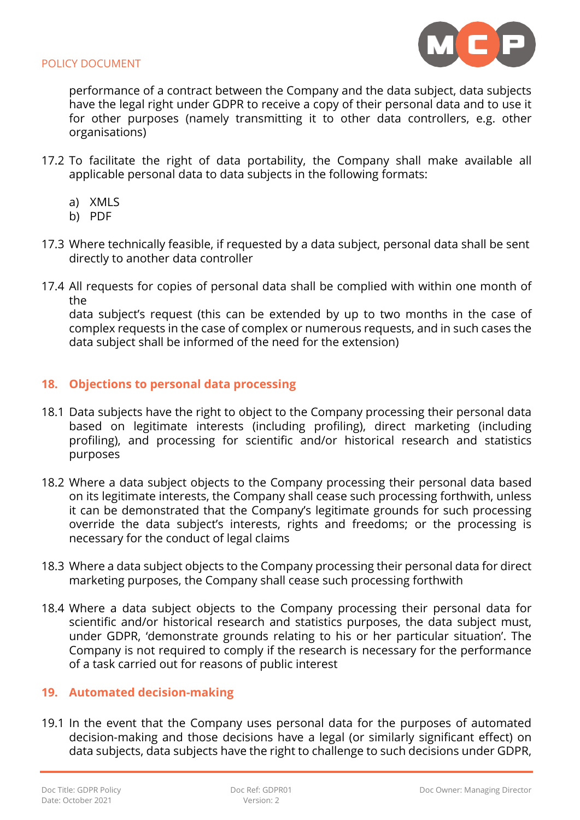

performance of a contract between the Company and the data subject, data subjects have the legal right under GDPR to receive a copy of their personal data and to use it for other purposes (namely transmitting it to other data controllers, e.g. other organisations)

- 17.2 To facilitate the right of data portability, the Company shall make available all applicable personal data to data subjects in the following formats:
	- a) XMLS
	- b) PDF
- 17.3 Where technically feasible, if requested by a data subject, personal data shall be sent directly to another data controller
- 17.4 All requests for copies of personal data shall be complied with within one month of the

data subject's request (this can be extended by up to two months in the case of complex requests in the case of complex or numerous requests, and in such cases the data subject shall be informed of the need for the extension)

## <span id="page-8-0"></span>**18. Objections to personal data processing**

- 18.1 Data subjects have the right to object to the Company processing their personal data based on legitimate interests (including profiling), direct marketing (including profiling), and processing for scientific and/or historical research and statistics purposes
- 18.2 Where a data subject objects to the Company processing their personal data based on its legitimate interests, the Company shall cease such processing forthwith, unless it can be demonstrated that the Company's legitimate grounds for such processing override the data subject's interests, rights and freedoms; or the processing is necessary for the conduct of legal claims
- 18.3 Where a data subject objects to the Company processing their personal data for direct marketing purposes, the Company shall cease such processing forthwith
- 18.4 Where a data subject objects to the Company processing their personal data for scientific and/or historical research and statistics purposes, the data subject must, under GDPR, 'demonstrate grounds relating to his or her particular situation'. The Company is not required to comply if the research is necessary for the performance of a task carried out for reasons of public interest

#### <span id="page-8-1"></span>**19. Automated decision-making**

19.1 In the event that the Company uses personal data for the purposes of automated decision-making and those decisions have a legal (or similarly significant effect) on data subjects, data subjects have the right to challenge to such decisions under GDPR,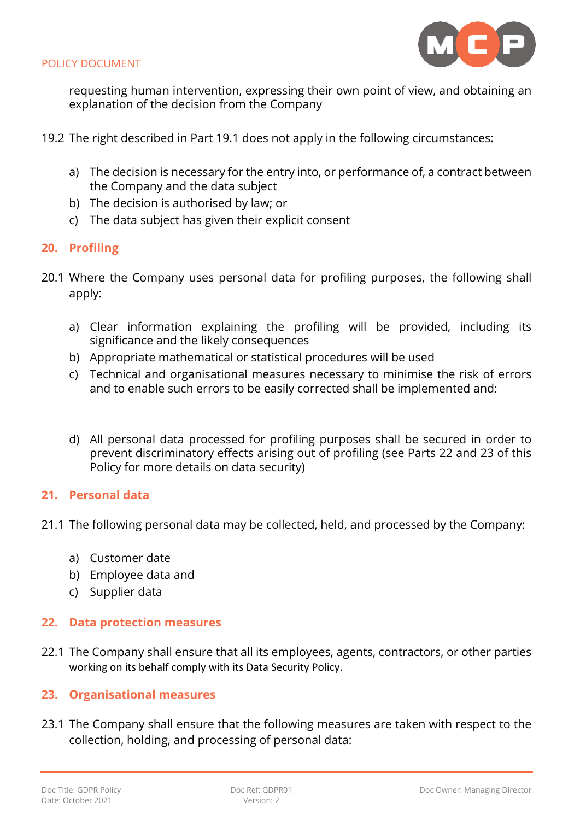

requesting human intervention, expressing their own point of view, and obtaining an explanation of the decision from the Company

- 19.2 The right described in Part 19.1 does not apply in the following circumstances:
	- a) The decision is necessary for the entry into, or performance of, a contract between the Company and the data subject
	- b) The decision is authorised by law; or
	- c) The data subject has given their explicit consent

## <span id="page-9-0"></span>**20. Profiling**

- 20.1 Where the Company uses personal data for profiling purposes, the following shall apply:
	- a) Clear information explaining the profiling will be provided, including its significance and the likely consequences
	- b) Appropriate mathematical or statistical procedures will be used
	- c) Technical and organisational measures necessary to minimise the risk of errors and to enable such errors to be easily corrected shall be implemented and:
	- d) All personal data processed for profiling purposes shall be secured in order to prevent discriminatory effects arising out of profiling (see Parts 22 and 23 of this Policy for more details on data security)

## <span id="page-9-1"></span>**21. Personal data**

- 21.1 The following personal data may be collected, held, and processed by the Company:
	- a) Customer date
	- b) Employee data and
	- c) Supplier data

## <span id="page-9-2"></span>**22. Data protection measures**

22.1 The Company shall ensure that all its employees, agents, contractors, or other parties working on its behalf comply with its Data Security Policy.

## <span id="page-9-3"></span>**23. Organisational measures**

23.1 The Company shall ensure that the following measures are taken with respect to the collection, holding, and processing of personal data: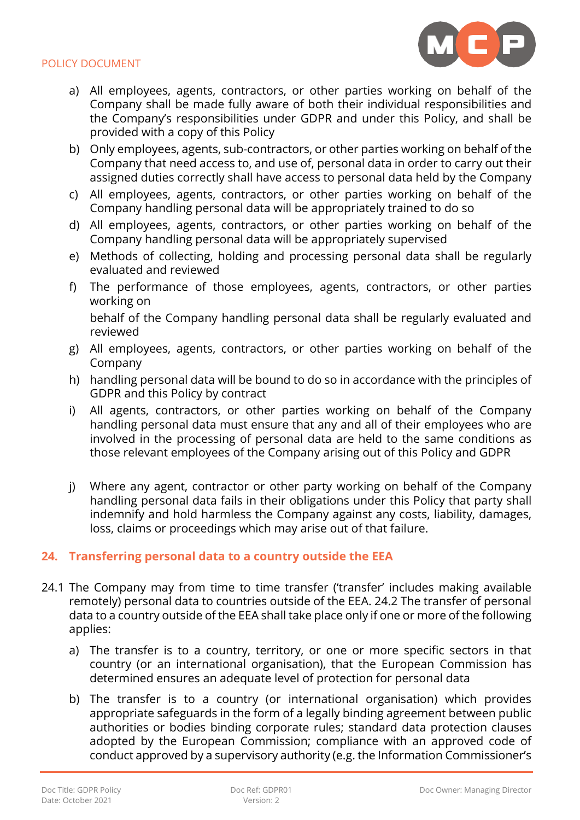

- a) All employees, agents, contractors, or other parties working on behalf of the Company shall be made fully aware of both their individual responsibilities and the Company's responsibilities under GDPR and under this Policy, and shall be provided with a copy of this Policy
- b) Only employees, agents, sub-contractors, or other parties working on behalf of the Company that need access to, and use of, personal data in order to carry out their assigned duties correctly shall have access to personal data held by the Company
- c) All employees, agents, contractors, or other parties working on behalf of the Company handling personal data will be appropriately trained to do so
- d) All employees, agents, contractors, or other parties working on behalf of the Company handling personal data will be appropriately supervised
- e) Methods of collecting, holding and processing personal data shall be regularly evaluated and reviewed
- f) The performance of those employees, agents, contractors, or other parties working on

behalf of the Company handling personal data shall be regularly evaluated and reviewed

- g) All employees, agents, contractors, or other parties working on behalf of the Company
- h) handling personal data will be bound to do so in accordance with the principles of GDPR and this Policy by contract
- i) All agents, contractors, or other parties working on behalf of the Company handling personal data must ensure that any and all of their employees who are involved in the processing of personal data are held to the same conditions as those relevant employees of the Company arising out of this Policy and GDPR
- j) Where any agent, contractor or other party working on behalf of the Company handling personal data fails in their obligations under this Policy that party shall indemnify and hold harmless the Company against any costs, liability, damages, loss, claims or proceedings which may arise out of that failure.

## <span id="page-10-0"></span>**24. Transferring personal data to a country outside the EEA**

- 24.1 The Company may from time to time transfer ('transfer' includes making available remotely) personal data to countries outside of the EEA. 24.2 The transfer of personal data to a country outside of the EEA shall take place only if one or more of the following applies:
	- a) The transfer is to a country, territory, or one or more specific sectors in that country (or an international organisation), that the European Commission has determined ensures an adequate level of protection for personal data
	- b) The transfer is to a country (or international organisation) which provides appropriate safeguards in the form of a legally binding agreement between public authorities or bodies binding corporate rules; standard data protection clauses adopted by the European Commission; compliance with an approved code of conduct approved by a supervisory authority (e.g. the Information Commissioner's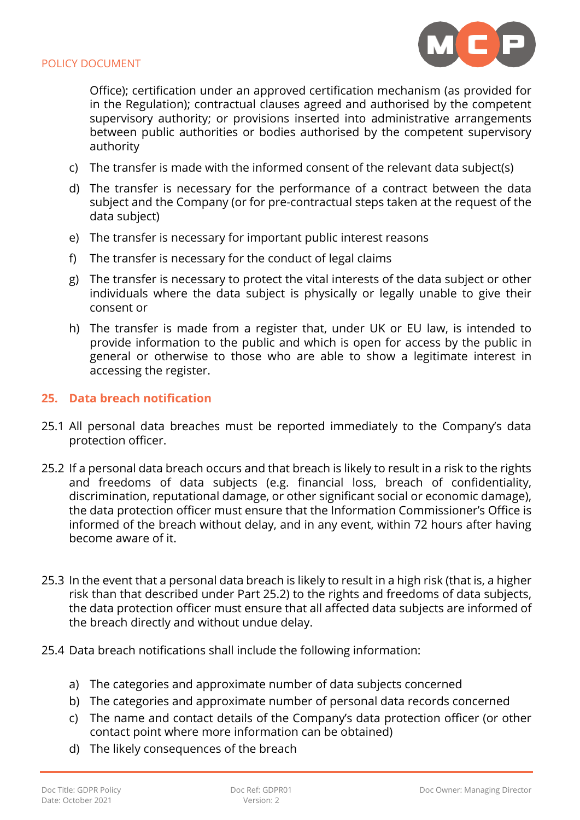

Office); certification under an approved certification mechanism (as provided for in the Regulation); contractual clauses agreed and authorised by the competent supervisory authority; or provisions inserted into administrative arrangements between public authorities or bodies authorised by the competent supervisory authority

- c) The transfer is made with the informed consent of the relevant data subject(s)
- d) The transfer is necessary for the performance of a contract between the data subject and the Company (or for pre-contractual steps taken at the request of the data subject)
- e) The transfer is necessary for important public interest reasons
- f) The transfer is necessary for the conduct of legal claims
- g) The transfer is necessary to protect the vital interests of the data subject or other individuals where the data subject is physically or legally unable to give their consent or
- h) The transfer is made from a register that, under UK or EU law, is intended to provide information to the public and which is open for access by the public in general or otherwise to those who are able to show a legitimate interest in accessing the register.

#### <span id="page-11-0"></span>**25. Data breach notification**

- 25.1 All personal data breaches must be reported immediately to the Company's data protection officer.
- 25.2 If a personal data breach occurs and that breach is likely to result in a risk to the rights and freedoms of data subjects (e.g. financial loss, breach of confidentiality, discrimination, reputational damage, or other significant social or economic damage), the data protection officer must ensure that the Information Commissioner's Office is informed of the breach without delay, and in any event, within 72 hours after having become aware of it.
- 25.3 In the event that a personal data breach is likely to result in a high risk (that is, a higher risk than that described under Part 25.2) to the rights and freedoms of data subjects, the data protection officer must ensure that all affected data subjects are informed of the breach directly and without undue delay.
- 25.4 Data breach notifications shall include the following information:
	- a) The categories and approximate number of data subjects concerned
	- b) The categories and approximate number of personal data records concerned
	- c) The name and contact details of the Company's data protection officer (or other contact point where more information can be obtained)
	- d) The likely consequences of the breach